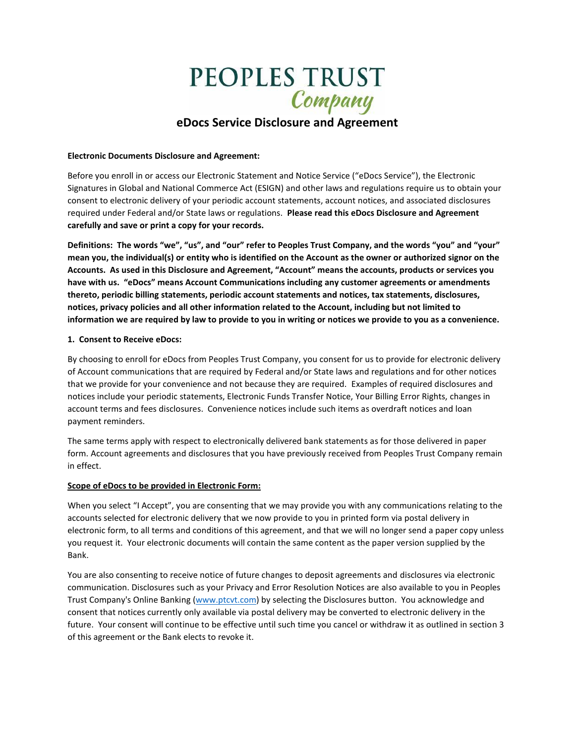# **PEOPLES TRUST**

# **eDocs Service Disclosure and Agreement**

#### **Electronic Documents Disclosure and Agreement:**

Before you enroll in or access our Electronic Statement and Notice Service ("eDocs Service"), the Electronic Signatures in Global and National Commerce Act (ESIGN) and other laws and regulations require us to obtain your consent to electronic delivery of your periodic account statements, account notices, and associated disclosures required under Federal and/or State laws or regulations. **Please read this eDocs Disclosure and Agreement carefully and save or print a copy for your records.** 

**Definitions: The words "we", "us", and "our" refer to Peoples Trust Company, and the words "you" and "your" mean you, the individual(s) or entity who is identified on the Account as the owner or authorized signor on the Accounts. As used in this Disclosure and Agreement, "Account" means the accounts, products or services you have with us. "eDocs" means Account Communications including any customer agreements or amendments thereto, periodic billing statements, periodic account statements and notices, tax statements, disclosures, notices, privacy policies and all other information related to the Account, including but not limited to information we are required by law to provide to you in writing or notices we provide to you as a convenience.** 

#### **1. Consent to Receive eDocs:**

By choosing to enroll for eDocs from Peoples Trust Company, you consent for us to provide for electronic delivery of Account communications that are required by Federal and/or State laws and regulations and for other notices that we provide for your convenience and not because they are required. Examples of required disclosures and notices include your periodic statements, Electronic Funds Transfer Notice, Your Billing Error Rights, changes in account terms and fees disclosures. Convenience notices include such items as overdraft notices and loan payment reminders.

The same terms apply with respect to electronically delivered bank statements as for those delivered in paper form. Account agreements and disclosures that you have previously received from Peoples Trust Company remain in effect.

# **Scope of eDocs to be provided in Electronic Form:**

When you select "I Accept", you are consenting that we may provide you with any communications relating to the accounts selected for electronic delivery that we now provide to you in printed form via postal delivery in electronic form, to all terms and conditions of this agreement, and that we will no longer send a paper copy unless you request it. Your electronic documents will contain the same content as the paper version supplied by the Bank.

You are also consenting to receive notice of future changes to deposit agreements and disclosures via electronic communication. Disclosures such as your Privacy and Error Resolution Notices are also available to you in Peoples Trust Company's Online Banking [\(www.ptcvt.com\)](http://www.ptcvt.com/) by selecting the Disclosures button. You acknowledge and consent that notices currently only available via postal delivery may be converted to electronic delivery in the future. Your consent will continue to be effective until such time you cancel or withdraw it as outlined in section 3 of this agreement or the Bank elects to revoke it.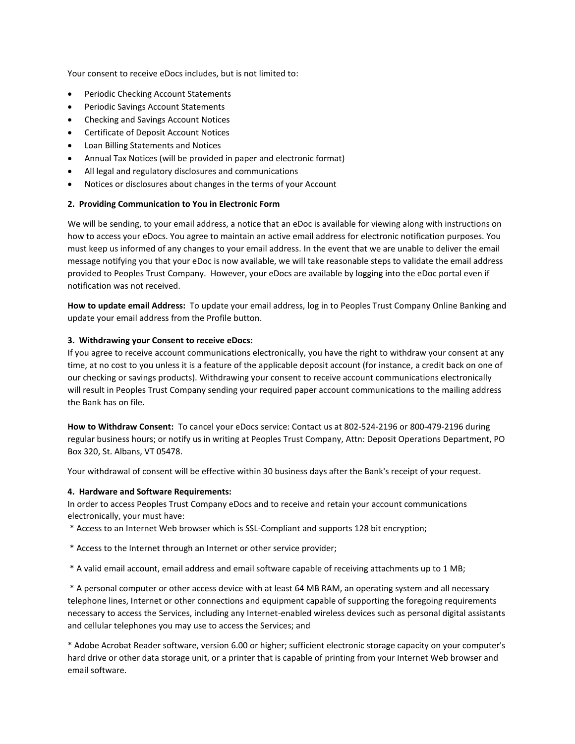Your consent to receive eDocs includes, but is not limited to:

- Periodic Checking Account Statements
- Periodic Savings Account Statements
- Checking and Savings Account Notices
- Certificate of Deposit Account Notices
- Loan Billing Statements and Notices
- Annual Tax Notices (will be provided in paper and electronic format)
- All legal and regulatory disclosures and communications
- Notices or disclosures about changes in the terms of your Account

# **2. Providing Communication to You in Electronic Form**

We will be sending, to your email address, a notice that an eDoc is available for viewing along with instructions on how to access your eDocs. You agree to maintain an active email address for electronic notification purposes. You must keep us informed of any changes to your email address. In the event that we are unable to deliver the email message notifying you that your eDoc is now available, we will take reasonable steps to validate the email address provided to Peoples Trust Company. However, your eDocs are available by logging into the eDoc portal even if notification was not received.

**How to update email Address:** To update your email address, log in to Peoples Trust Company Online Banking and update your email address from the Profile button.

#### **3. Withdrawing your Consent to receive eDocs:**

If you agree to receive account communications electronically, you have the right to withdraw your consent at any time, at no cost to you unless it is a feature of the applicable deposit account (for instance, a credit back on one of our checking or savings products). Withdrawing your consent to receive account communications electronically will result in Peoples Trust Company sending your required paper account communications to the mailing address the Bank has on file.

**How to Withdraw Consent:** To cancel your eDocs service: Contact us at 802-524-2196 or 800-479-2196 during regular business hours; or notify us in writing at Peoples Trust Company, Attn: Deposit Operations Department, PO Box 320, St. Albans, VT 05478.

Your withdrawal of consent will be effective within 30 business days after the Bank's receipt of your request.

# **4. Hardware and Software Requirements:**

In order to access Peoples Trust Company eDocs and to receive and retain your account communications electronically, your must have:

\* Access to an Internet Web browser which is SSL-Compliant and supports 128 bit encryption;

- \* Access to the Internet through an Internet or other service provider;
- \* A valid email account, email address and email software capable of receiving attachments up to 1 MB;

\* A personal computer or other access device with at least 64 MB RAM, an operating system and all necessary telephone lines, Internet or other connections and equipment capable of supporting the foregoing requirements necessary to access the Services, including any Internet-enabled wireless devices such as personal digital assistants and cellular telephones you may use to access the Services; and

\* Adobe Acrobat Reader software, version 6.00 or higher; sufficient electronic storage capacity on your computer's hard drive or other data storage unit, or a printer that is capable of printing from your Internet Web browser and email software.